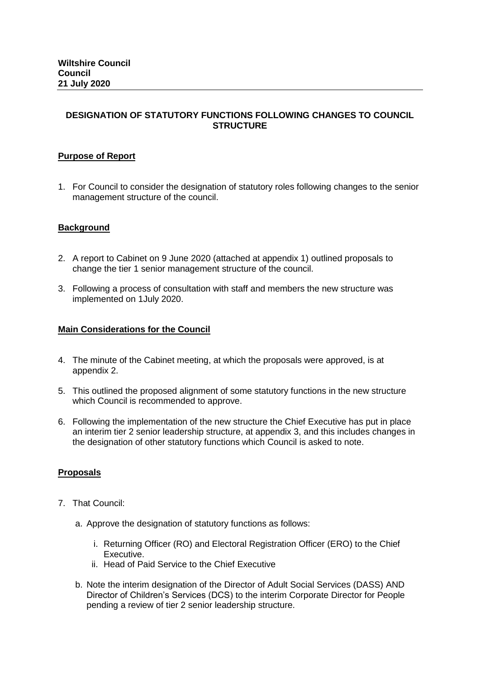# **DESIGNATION OF STATUTORY FUNCTIONS FOLLOWING CHANGES TO COUNCIL STRUCTURE**

# **Purpose of Report**

1. For Council to consider the designation of statutory roles following changes to the senior management structure of the council.

### **Background**

- 2. A report to Cabinet on 9 June 2020 (attached at appendix 1) outlined proposals to change the tier 1 senior management structure of the council.
- 3. Following a process of consultation with staff and members the new structure was implemented on 1July 2020.

### **Main Considerations for the Council**

- 4. The minute of the Cabinet meeting, at which the proposals were approved, is at appendix 2.
- 5. This outlined the proposed alignment of some statutory functions in the new structure which Council is recommended to approve.
- 6. Following the implementation of the new structure the Chief Executive has put in place an interim tier 2 senior leadership structure, at appendix 3, and this includes changes in the designation of other statutory functions which Council is asked to note.

### **Proposals**

- 7. That Council:
	- a. Approve the designation of statutory functions as follows:
		- i. Returning Officer (RO) and Electoral Registration Officer (ERO) to the Chief Executive.
		- ii. Head of Paid Service to the Chief Executive
	- b. Note the interim designation of the Director of Adult Social Services (DASS) AND Director of Children's Services (DCS) to the interim Corporate Director for People pending a review of tier 2 senior leadership structure.